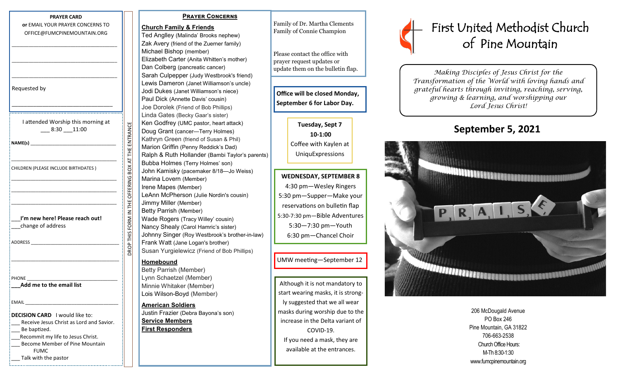| or EMAIL YOUR PRAYER CONCERNS TO<br>OFFICE@FUMCPINEMOUNTAIN.ORG                   |                                                    |
|-----------------------------------------------------------------------------------|----------------------------------------------------|
|                                                                                   |                                                    |
|                                                                                   |                                                    |
|                                                                                   |                                                    |
| Requested by                                                                      |                                                    |
|                                                                                   |                                                    |
| I attended Worship this morning at<br>$-8:30 - 11:00$                             |                                                    |
| NAME(s)                                                                           | DROP THIS FORM IN THE OFFERING BOX AT THE ENTRANCE |
|                                                                                   |                                                    |
| CHILDREN (PLEASE INCLUDE BIRTHDATES)                                              |                                                    |
|                                                                                   |                                                    |
|                                                                                   |                                                    |
| I'm new here! Please reach out!                                                   |                                                    |
| __change of address                                                               |                                                    |
| ADDRESS                                                                           |                                                    |
|                                                                                   |                                                    |
| PHONE                                                                             |                                                    |
| Add me to the email list                                                          |                                                    |
| EMAIL                                                                             |                                                    |
| <b>DECISION CARD</b> I would like to:<br>Receive Jesus Christ as Lord and Savior. |                                                    |
| Be baptized.                                                                      |                                                    |
| Recommit my life to Jesus Christ.                                                 |                                                    |
| Become Member of Pine Mountain<br><b>FUMC</b>                                     |                                                    |
| Talk with the pastor                                                              |                                                    |

**PRAYER CARD**

 **Prayer Concerns Church Family & Friends** Ted Anglley (Malinda' Brooks nephew) Zak Avery (friend of the Zuerner family) Michael Bishop (member) Elizabeth Carter (Anita Whitten's mother) Dan Colberg (pancreatic cancer) Sarah Culpepper (Judy Westbrook's friend) Lewis Dameron (Janet Williamson's uncle) Jodi Dukes (Janet Williamson's niece) Paul Dick (Annette Davis' cousin) Joe Dorolek (Friend of Bob Phillips) Linda Gates (Becky Gaar's sister) Ken Godfrey (UMC pastor, heart attack) Doug Grant (cancer—Terry Holmes) Kathryn Green (friend of Susan & Phil) Marion Griffin (Penny Reddick's Dad) Ralph & Ruth Hollander (Bambi Taylor's parents) Bubba Holmes (Terry Holmes' son) John Kamisky (pacemaker 8/18—Jo Weiss) Marina Lovern (Member) Irene Mapes (Member) LeAnn McPherson (Julie Nordin's cousin) Jimmy Miller (Member) Betty Parrish (Member) Wade Rogers (Tracy Willey' cousin) Nancy Shealy (Carol Hamric's sister)

Johnny Singer (Roy Westbrook's brother-in-law) Frank Watt (Jane Logan's brother) Susan Yurgielewicz (Friend of Bob Phillips)

## **Homebound**

Betty Parrish (Member) Lynn Schaetzel (Member) Minnie Whitaker (Member) Lois Wilson-Boyd (Member)

**American Soldiers**  Justin Frazier (Debra Bayona's son)

**Service Members First Responders**

Family of Dr. Martha Clements Family of Connie Champion

Please contact the office with prayer request updates or update them on the bulletin flap.

**Office will be closed Monday, September 6 for Labor Day.**

> **Tuesday, Sept 7 10-1:00** Coffee with Kaylen at UniquExpressions

**WEDNESDAY, SEPTEMBER 8** 4:30 pm—Wesley Ringers 5:30 pm—Supper—Make your reservations on bulletin flap 5:30-7:30 pm—Bible Adventures 5:30—7:30 pm—Youth 6:30 pm—Chancel Choir

UMW meeting—September 12

Although it is not mandatory to start wearing masks, it is strongly suggested that we all wear masks during worship due to the increase in the Delta variant of COVID-19. If you need a mask, they are available at the entrances.



*Making Disciples of Jesus Christ for the Transformation of the World with loving hands and grateful hearts through inviting, reaching, serving, growing & learning, and worshipping our Lord Jesus Christ!* 

# **September 5, 2021**



206 McDougald Avenue PO Box 246 Pine Mountain, GA 31822 706-663-2538 Church Office Hours: M-Th 8:30-1:30 www.fumcpinemountain.org